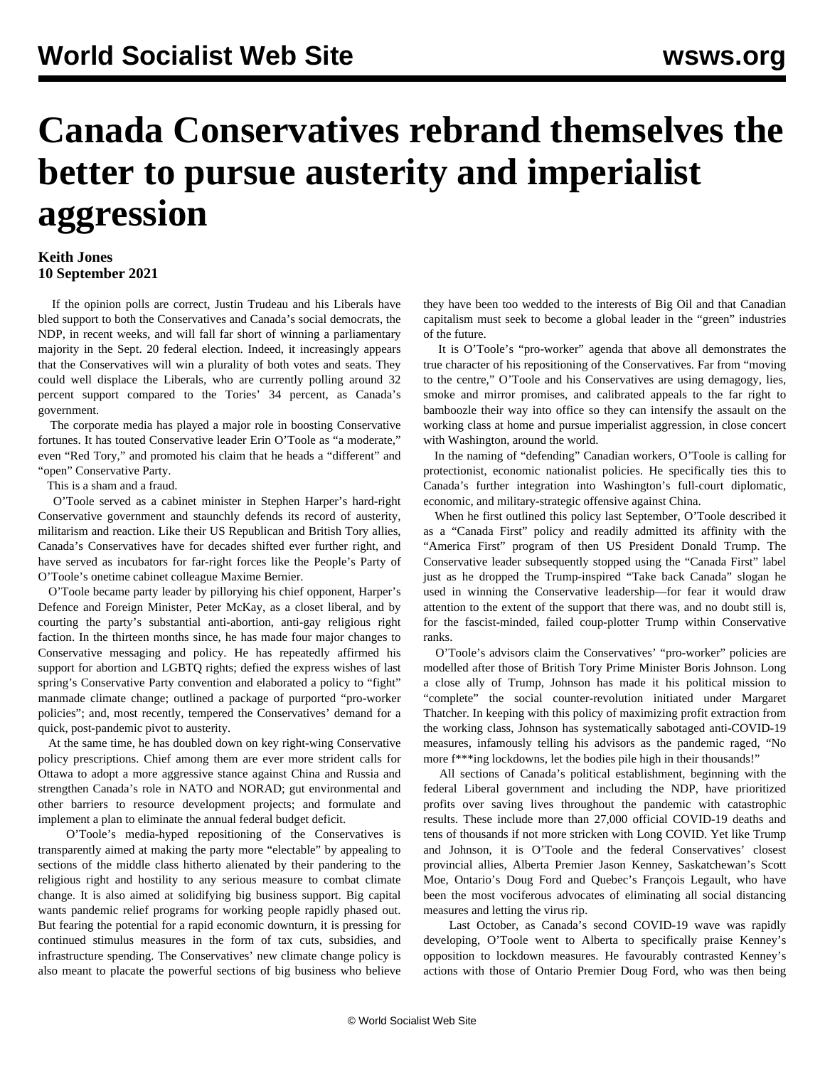## **Canada Conservatives rebrand themselves the better to pursue austerity and imperialist aggression**

## **Keith Jones 10 September 2021**

 If the opinion polls are correct, Justin Trudeau and his Liberals have bled support to both the Conservatives and Canada's social democrats, the NDP, in recent weeks, and will fall far short of winning a parliamentary majority in the Sept. 20 federal election. Indeed, it increasingly appears that the Conservatives will win a plurality of both votes and seats. They could well displace the Liberals, who are currently polling around 32 percent support compared to the Tories' 34 percent, as Canada's government.

 The corporate media has played a major role in boosting Conservative fortunes. It has touted Conservative leader Erin O'Toole as "a moderate," even "Red Tory," and promoted his claim that he heads a "different" and "open" Conservative Party.

This is a sham and a fraud.

 O'Toole served as a cabinet minister in Stephen Harper's hard-right Conservative government and staunchly defends its record of austerity, militarism and reaction. Like their US Republican and British Tory allies, Canada's Conservatives have for decades shifted ever further right, and have served as incubators for far-right forces like the People's Party of O'Toole's onetime cabinet colleague Maxime Bernier.

 O'Toole became party leader by pillorying his chief opponent, Harper's Defence and Foreign Minister, Peter McKay, as a closet liberal, and by courting the party's substantial anti-abortion, anti-gay religious right faction. In the thirteen months since, he has made four major changes to Conservative messaging and policy. He has repeatedly affirmed his support for abortion and LGBTQ rights; defied the express wishes of last spring's Conservative Party convention and elaborated a policy to "fight" manmade climate change; outlined a package of purported "pro-worker policies"; and, most recently, tempered the Conservatives' demand for a quick, post-pandemic pivot to austerity.

 At the same time, he has doubled down on key right-wing Conservative policy prescriptions. Chief among them are ever more strident calls for Ottawa to adopt a more aggressive stance against China and Russia and strengthen Canada's role in NATO and NORAD; gut environmental and other barriers to resource development projects; and formulate and implement a plan to eliminate the annual federal budget deficit.

 O'Toole's media-hyped repositioning of the Conservatives is transparently aimed at making the party more "electable" by appealing to sections of the middle class hitherto alienated by their pandering to the religious right and hostility to any serious measure to combat climate change. It is also aimed at solidifying big business support. Big capital wants pandemic relief programs for working people rapidly phased out. But fearing the potential for a rapid economic downturn, it is pressing for continued stimulus measures in the form of tax cuts, subsidies, and infrastructure spending. The Conservatives' new climate change policy is also meant to placate the powerful sections of big business who believe they have been too wedded to the interests of Big Oil and that Canadian capitalism must seek to become a global leader in the "green" industries of the future.

 It is O'Toole's "pro-worker" agenda that above all demonstrates the true character of his repositioning of the Conservatives. Far from "moving to the centre," O'Toole and his Conservatives are using demagogy, lies, smoke and mirror promises, and calibrated appeals to the far right to bamboozle their way into office so they can intensify the assault on the working class at home and pursue imperialist aggression, in close concert with Washington, around the world.

 In the naming of "defending" Canadian workers, O'Toole is calling for protectionist, economic nationalist policies. He specifically ties this to Canada's further integration into Washington's full-court diplomatic, economic, and military-strategic offensive against China.

 When he first outlined this policy last September, O'Toole described it as a "Canada First" policy and readily admitted its affinity with the "America First" program of then US President Donald Trump. The Conservative leader subsequently stopped using the "Canada First" label just as he dropped the Trump-inspired "Take back Canada" slogan he used in winning the Conservative leadership—for fear it would draw attention to the extent of the support that there was, and no doubt still is, for the fascist-minded, failed coup-plotter Trump within Conservative ranks.

 O'Toole's advisors claim the Conservatives' "pro-worker" policies are modelled after those of British Tory Prime Minister Boris Johnson. Long a close ally of Trump, Johnson has made it his political mission to "complete" the social counter-revolution initiated under Margaret Thatcher. In keeping with this policy of maximizing profit extraction from the working class, Johnson has systematically sabotaged anti-COVID-19 measures, infamously telling his advisors as the pandemic raged, "No more f\*\*\*ing lockdowns, let the bodies pile high in their thousands!"

 All sections of Canada's political establishment, beginning with the federal Liberal government and including the NDP, have prioritized profits over saving lives throughout the pandemic with catastrophic results. These include more than 27,000 official COVID-19 deaths and tens of thousands if not more stricken with Long COVID. Yet like Trump and Johnson, it is O'Toole and the federal Conservatives' closest provincial allies, Alberta Premier Jason Kenney, Saskatchewan's Scott Moe, Ontario's Doug Ford and Quebec's François Legault, who have been the most vociferous advocates of eliminating all social distancing measures and letting the virus rip.

 Last October, as Canada's second COVID-19 wave was rapidly developing, O'Toole went to Alberta to specifically praise Kenney's opposition to lockdown measures. He favourably contrasted Kenney's actions with those of Ontario Premier Doug Ford, who was then being